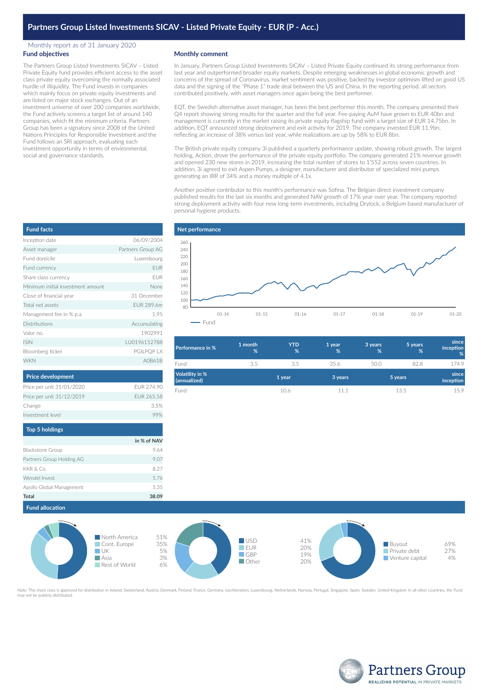## Monthly report as of 31 January 2020 **Fund objectives**

The Partners Group Listed Investments SICAV – Listed Private Equity fund provides efficient access to the asset class private equity overcoming the normally associated hurdle of illiquidity. The Fund invests in companies which mainly focus on private equity investments and are listed on major stock exchanges. Out of an investment universe of over 200 companies worldwide, the Fund actively screens a target list of around 140 companies, which fit the minimum criteria. Partners Group has been a signatory since 2008 of the United Nations Principles for Responsible Investment and the Fund follows an SRI approach, evaluating each investment opportunity in terms of environmental, social and governance standards.

## **Monthly comment**

In January, Partners Group Listed Investments SICAV – Listed Private Equity continued its strong performance from last year and outperformed broader equity markets. Despite emerging weaknesses in global economic growth and concerns of the spread of Coronavirus, market sentiment was positive, backed by investor optimism lifted on good US data and the signing of the "Phase 1" trade deal between the US and China. In the reporting period, all sectors contributed positively, with asset managers once again being the best performer.

EQT, the Swedish alternative asset manager, has been the best performer this month. The company presented their Q4 report showing strong results for the quarter and the full year. Fee-paying AuM have grown to EUR 40bn and management is currently in the market raising its private equity flagship fund with a target size of EUR 14.75bn. In addition, EQT announced strong deployment and exit activity for 2019. The company invested EUR 11.9bn, reflecting an increase of 38% versus last year, while realizations are up by 58% to EUR 8bn.

The British private equity company 3i published a quarterly performance update, showing robust growth. The largest holding, Action, drove the performance of the private equity portfolio. The company generated 21% revenue growth and opened 230 new stores in 2019, increasing the total number of stores to 1'552 across seven countries. In addition, 3i agreed to exit Aspen Pumps, a designer, manufacturer and distributor of specialized mini pumps generating an IRR of 34% and a money multiple of 4.1x.

Another positive contributor to this month's performance was Sofina. The Belgian direct investment company published results for the last six months and generated NAV growth of 17% year over year. The company reported strong deployment activity with four new long-term investments, including Drylock, a Belgium based manufacturer of personal hygiene products.



| Performance in %                | 1 month<br>% | <b>YTD</b><br>% | 1 year<br>% | 3 years<br>% | 5 years<br>% | since<br>inception<br>% |
|---------------------------------|--------------|-----------------|-------------|--------------|--------------|-------------------------|
| Fund                            | 3.5          | 3.5             | 35.6        | 50.0         | 82.8         | 174.9                   |
| Volatility in %<br>(annualized) |              | 1 year          | 3 years     |              | 5 years      | since<br>inception      |
| Fund                            |              | 10.6            | 11.1        |              | 13.5         | 15.9                    |

| <b>Fund facts</b>                 |                   |
|-----------------------------------|-------------------|
| Inception date                    | 06/09/2004        |
| Asset manager                     | Partners Group AG |
| Fund domicile                     | Luxembourg        |
| Fund currency                     | <b>EUR</b>        |
| Share class currency              | <b>FUR</b>        |
| Minimum initial investment amount | None              |
| Close of financial year           | 31 December       |
| Total net assets                  | FUR 289.6m        |
| Management fee in % p.a.          | 1.95              |
| Distributions                     | Accumulating      |
| Valor no.                         | 1902991           |
| <b>ISIN</b>                       | LU0196152788      |
| Bloomberg ticker                  | PGILPQP LX        |
| <b>WKN</b>                        | A0B61B            |

| Price per unit 31/01/2020 | EUR 274.90  |
|---------------------------|-------------|
| Price per unit 31/12/2019 | FUR 265.58  |
| Change                    | 3.5%        |
| Investment level          | 99%         |
| <b>Top 5 holdings</b>     |             |
|                           | in % of NAV |
| <b>Blackstone Group</b>   | 9.64        |
| Partners Group Holding AG | 9.07        |

**Price development**

|                           | in % of NAV |
|---------------------------|-------------|
| Blackstone Group          | 9.64        |
| Partners Group Holding AG | 9.07        |
| KKR & Co.                 | 8.27        |
| Wendel Invest             | 5.76        |
| Apollo Global Management  | 5.35        |
| <b>Total</b>              | 38.09       |



Note: This share class is approved for distribution in Ireland, Switzerland, Austria, Denmark, Finland, France, Germany, Liechtenstein, Luxembourg, Netherlands, Norway, Portugal, Singapore, Spain, Sweden, United Kingdom. I ate. This share class is approvi<br>ay not be publicly distributed.